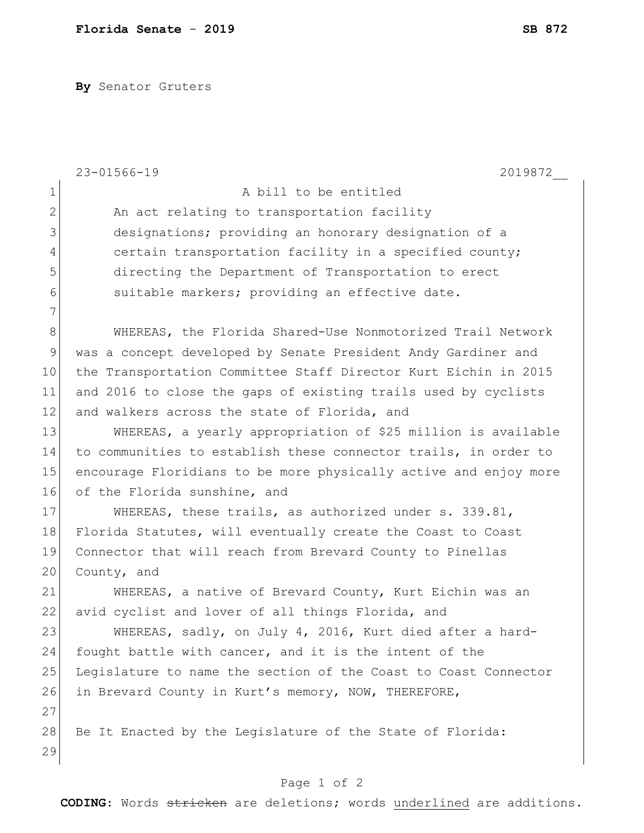**By** Senator Gruters

|                | $23 - 01566 - 19$<br>2019872                                     |
|----------------|------------------------------------------------------------------|
| $\mathbf 1$    | A bill to be entitled                                            |
| $\overline{2}$ | An act relating to transportation facility                       |
| 3              | designations; providing an honorary designation of a             |
| $\overline{4}$ | certain transportation facility in a specified county;           |
| 5              | directing the Department of Transportation to erect              |
| 6              | suitable markers; providing an effective date.                   |
| 7              |                                                                  |
| $8\,$          | WHEREAS, the Florida Shared-Use Nonmotorized Trail Network       |
| 9              | was a concept developed by Senate President Andy Gardiner and    |
| 10             | the Transportation Committee Staff Director Kurt Eichin in 2015  |
| 11             | and 2016 to close the gaps of existing trails used by cyclists   |
| 12             | and walkers across the state of Florida, and                     |
| 13             | WHEREAS, a yearly appropriation of \$25 million is available     |
| 14             | to communities to establish these connector trails, in order to  |
| 15             | encourage Floridians to be more physically active and enjoy more |
| 16             | of the Florida sunshine, and                                     |
| 17             | WHEREAS, these trails, as authorized under s. 339.81,            |
| 18             | Florida Statutes, will eventually create the Coast to Coast      |
| 19             | Connector that will reach from Brevard County to Pinellas        |
| 20             | County, and                                                      |
| 21             | WHEREAS, a native of Brevard County, Kurt Eichin was an          |
| 22             | avid cyclist and lover of all things Florida, and                |
| 23             | WHEREAS, sadly, on July 4, 2016, Kurt died after a hard-         |
| 24             | fought battle with cancer, and it is the intent of the           |
| 25             | Legislature to name the section of the Coast to Coast Connector  |
| 26             | in Brevard County in Kurt's memory, NOW, THEREFORE,              |
| 27             |                                                                  |
| 28             | Be It Enacted by the Legislature of the State of Florida:        |
| 29             |                                                                  |
|                |                                                                  |
|                | Page 1 of 2                                                      |

**CODING**: Words stricken are deletions; words underlined are additions.